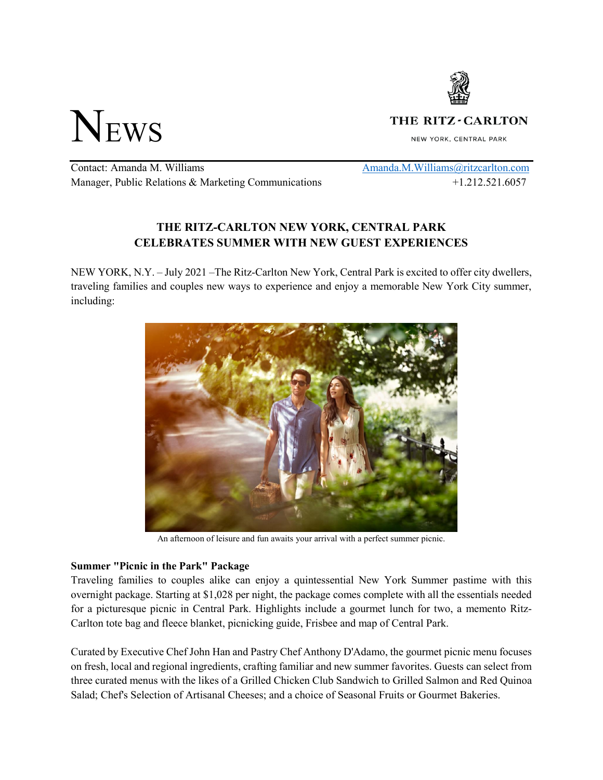

NEWS

THE RITZ - CARLTON

NEW YORK, CENTRAL PARK

Contact: Amanda M. Williams Manager, Public Relations & Marketing Communications [Amanda.M.Williams@ritzcarlton.com](mailto:Amanda.M.Williams@ritzcarlton.com) +1.212.521.6057

# **THE RITZ-CARLTON NEW YORK, CENTRAL PARK CELEBRATES SUMMER WITH NEW GUEST EXPERIENCES**

NEW YORK, N.Y. – July 2021 –The Ritz-Carlton New York, Central Park is excited to offer city dwellers, traveling families and couples new ways to experience and enjoy a memorable New York City summer, including:



An afternoon of leisure and fun awaits your arrival with a perfect summer picnic.

## **Summer "Picnic in the Park" Package**

Traveling families to couples alike can enjoy a quintessential New York Summer pastime with this overnight package. Starting at \$1,028 per night, the package comes complete with all the essentials needed for a picturesque picnic in Central Park. Highlights include a gourmet lunch for two, a memento Ritz-Carlton tote bag and fleece blanket, picnicking guide, Frisbee and map of Central Park.

Curated by Executive Chef John Han and Pastry Chef Anthony D'Adamo, the gourmet picnic menu focuses on fresh, local and regional ingredients, crafting familiar and new summer favorites. Guests can select from three curated menus with the likes of a Grilled Chicken Club Sandwich to Grilled Salmon and Red Quinoa Salad; Chef's Selection of Artisanal Cheeses; and a choice of Seasonal Fruits or Gourmet Bakeries.